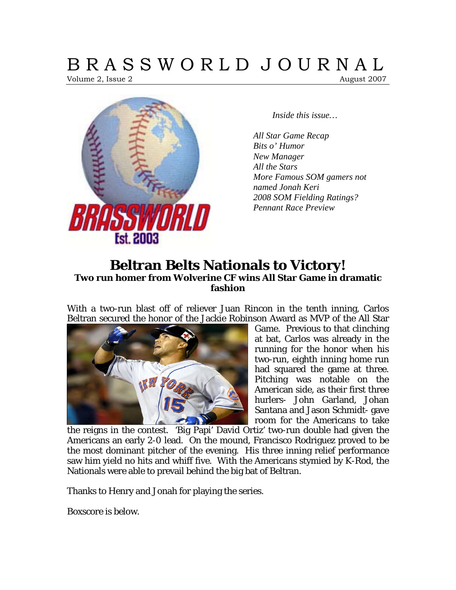# B R A S S W O R L D J O U R N A L

Volume 2, Issue 2 August 2007



*Inside this issue…* 

*All Star Game Recap Bits o' Humor New Manager All the Stars More Famous SOM gamers not named Jonah Keri 2008 SOM Fielding Ratings? Pennant Race Preview* 

# **Beltran Belts Nationals to Victory! Two run homer from Wolverine CF wins All Star Game in dramatic fashion**

With a two-run blast off of reliever Juan Rincon in the tenth inning, Carlos Beltran secured the honor of the Jackie Robinson Award as MVP of the All Star



Game. Previous to that clinching at bat, Carlos was already in the running for the honor when his two-run, eighth inning home run had squared the game at three. Pitching was notable on the American side, as their first three hurlers- John Garland, Johan Santana and Jason Schmidt- gave room for the Americans to take

the reigns in the contest. 'Big Papi' David Ortiz' two-run double had given the Americans an early 2-0 lead. On the mound, Francisco Rodriguez proved to be the most dominant pitcher of the evening. His three inning relief performance saw him yield no hits and whiff five. With the Americans stymied by K-Rod, the Nationals were able to prevail behind the big bat of Beltran.

Thanks to Henry and Jonah for playing the series.

Boxscore is below.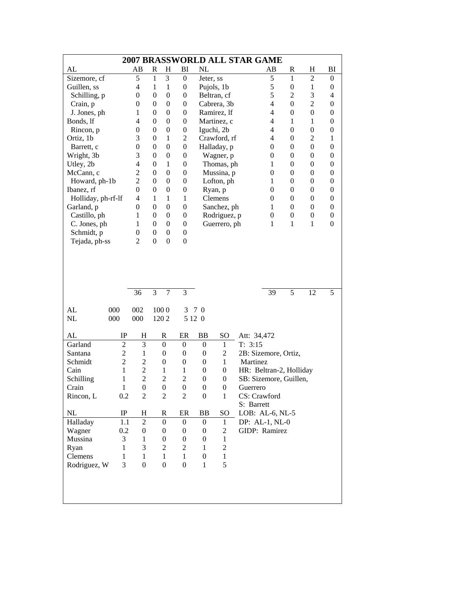|                    | <b>2007 BRASSWORLD ALL STAR GAME</b> |                          |                  |                  |                  |                  |                  |                         |                  |                  |                          |
|--------------------|--------------------------------------|--------------------------|------------------|------------------|------------------|------------------|------------------|-------------------------|------------------|------------------|--------------------------|
| AL                 |                                      | AВ                       | R                | H                | BI               | NL               |                  | AВ                      | R                | H                | BI                       |
| Sizemore, cf       |                                      | 5                        | $\mathbf{1}$     | 3                | $\boldsymbol{0}$ | Jeter, ss        |                  | 5                       | 1                | $\overline{2}$   | $\boldsymbol{0}$         |
| Guillen, ss        |                                      | $\overline{4}$           | 1                | 1                | $\boldsymbol{0}$ |                  | Pujols, 1b       | 5                       | $\boldsymbol{0}$ | 1                | $\boldsymbol{0}$         |
| Schilling, p       |                                      | $\theta$                 | $\mathbf{0}$     | $\mathbf{0}$     | $\boldsymbol{0}$ |                  | Beltran, cf      | 5                       | $\overline{2}$   | 3                | $\overline{\mathcal{L}}$ |
| Crain, p           |                                      | $\boldsymbol{0}$         | $\theta$         | $\boldsymbol{0}$ | $\boldsymbol{0}$ |                  | Cabrera, 3b      | $\overline{4}$          | $\overline{0}$   | $\overline{c}$   | $\boldsymbol{0}$         |
| J. Jones, ph       |                                      | 1                        | $\mathbf{0}$     | $\theta$         | $\boldsymbol{0}$ |                  | Ramirez, lf      | $\overline{4}$          | $\theta$         | $\mathbf{0}$     | $\boldsymbol{0}$         |
| Bonds, lf          |                                      | $\overline{4}$           | $\theta$         | $\theta$         | $\boldsymbol{0}$ |                  | Martinez, c      | $\overline{4}$          | 1                | $\mathbf{1}$     | $\boldsymbol{0}$         |
| Rincon, p          |                                      | $\boldsymbol{0}$         | $\boldsymbol{0}$ | $\boldsymbol{0}$ | $\boldsymbol{0}$ |                  | Iguchi, 2b       | $\overline{4}$          | $\boldsymbol{0}$ | $\boldsymbol{0}$ | $\boldsymbol{0}$         |
| Ortiz, 1b          |                                      | 3                        | $\mathbf{0}$     | 1                | $\overline{2}$   |                  | Crawford, rf     | $\overline{4}$          | $\overline{0}$   | $\overline{2}$   | $\mathbf{1}$             |
| Barrett, c         |                                      | $\boldsymbol{0}$         | $\boldsymbol{0}$ | $\boldsymbol{0}$ | $\boldsymbol{0}$ |                  | Halladay, p      | $\boldsymbol{0}$        | $\overline{0}$   | $\boldsymbol{0}$ | $\boldsymbol{0}$         |
| Wright, 3b         |                                      | 3                        | $\boldsymbol{0}$ | $\boldsymbol{0}$ | $\boldsymbol{0}$ |                  | Wagner, p        | $\boldsymbol{0}$        | $\overline{0}$   | $\boldsymbol{0}$ | $\boldsymbol{0}$         |
| Utley, 2b          |                                      | $\overline{\mathcal{L}}$ | $\theta$         | $\mathbf{1}$     | $\boldsymbol{0}$ |                  | Thomas, ph       | 1                       | $\overline{0}$   | $\boldsymbol{0}$ | $\boldsymbol{0}$         |
| McCann, c          |                                      | $\overline{c}$           | $\boldsymbol{0}$ | $\overline{0}$   | $\boldsymbol{0}$ |                  | Mussina, p       | $\boldsymbol{0}$        | $\overline{0}$   | $\boldsymbol{0}$ | $\boldsymbol{0}$         |
| Howard, ph-1b      |                                      | $\overline{c}$           | $\theta$         | $\boldsymbol{0}$ | $\boldsymbol{0}$ |                  | Lofton, ph       | 1                       | $\overline{0}$   | $\boldsymbol{0}$ | $\boldsymbol{0}$         |
| Ibanez, rf         |                                      | $\mathbf{0}$             | $\theta$         | $\boldsymbol{0}$ | $\boldsymbol{0}$ |                  | Ryan, p          | $\boldsymbol{0}$        | $\overline{0}$   | $\boldsymbol{0}$ | $\boldsymbol{0}$         |
| Holliday, ph-rf-lf |                                      | 4                        | $\mathbf{1}$     | $\mathbf{1}$     | $\mathbf{1}$     |                  | Clemens          | $\boldsymbol{0}$        | $\theta$         | $\boldsymbol{0}$ | $\boldsymbol{0}$         |
| Garland, p         |                                      | $\boldsymbol{0}$         | $\boldsymbol{0}$ | $\boldsymbol{0}$ | $\boldsymbol{0}$ |                  | Sanchez, ph      | 1                       | $\overline{0}$   | $\boldsymbol{0}$ | $\boldsymbol{0}$         |
| Castillo, ph       |                                      | 1                        | $\theta$         | $\boldsymbol{0}$ | $\boldsymbol{0}$ |                  | Rodriguez, p     | $\boldsymbol{0}$        | $\boldsymbol{0}$ | $\boldsymbol{0}$ | $\boldsymbol{0}$         |
| C. Jones, ph       |                                      | 1                        | $\theta$         | $\boldsymbol{0}$ | $\boldsymbol{0}$ |                  | Guerrero, ph     | 1                       | $\mathbf{1}$     | $\mathbf{1}$     | $\boldsymbol{0}$         |
| Schmidt, p         |                                      | $\boldsymbol{0}$         | $\boldsymbol{0}$ | $\boldsymbol{0}$ | $\boldsymbol{0}$ |                  |                  |                         |                  |                  |                          |
| Tejada, ph-ss      |                                      | $\overline{2}$           | $\boldsymbol{0}$ | $\boldsymbol{0}$ | $\boldsymbol{0}$ |                  |                  |                         |                  |                  |                          |
|                    |                                      |                          |                  |                  |                  |                  |                  |                         |                  |                  |                          |
|                    |                                      |                          |                  |                  |                  |                  |                  |                         |                  |                  |                          |
|                    |                                      |                          |                  |                  |                  |                  |                  |                         |                  |                  |                          |
|                    |                                      |                          |                  |                  |                  |                  |                  |                         |                  |                  |                          |
|                    |                                      |                          |                  |                  |                  |                  |                  |                         |                  |                  |                          |
|                    |                                      | 36                       | 3                | $\tau$           | 3                |                  |                  | 39                      | 5                | 12               | 5                        |
|                    |                                      |                          |                  |                  |                  |                  |                  |                         |                  |                  |                          |
| AL                 | 000                                  | 002                      |                  | 1000             | 3                | 7 0              |                  |                         |                  |                  |                          |
| NL                 | 000                                  | 000                      |                  | 1202             |                  | 5 12 0           |                  |                         |                  |                  |                          |
|                    |                                      |                          |                  |                  |                  |                  |                  |                         |                  |                  |                          |
| AL                 | IP                                   | H                        |                  | R                | ER               | BB               | SO               | Att: 34,472             |                  |                  |                          |
| Garland            | $\overline{2}$                       | 3                        |                  | $\boldsymbol{0}$ | $\boldsymbol{0}$ | $\boldsymbol{0}$ | 1                | T: 3:15                 |                  |                  |                          |
| Santana            | $\overline{c}$                       | $\mathbf{1}$             |                  | $\boldsymbol{0}$ | $\boldsymbol{0}$ | $\boldsymbol{0}$ | $\overline{c}$   | 2B: Sizemore, Ortiz,    |                  |                  |                          |
| Schmidt            | $\overline{2}$                       | $\overline{c}$           |                  | $\boldsymbol{0}$ | $\boldsymbol{0}$ | $\boldsymbol{0}$ | $\mathbf{1}$     | Martinez                |                  |                  |                          |
| Cain               | $\mathbf{1}$                         | $\overline{c}$           |                  | $\mathbf{1}$     | $\mathbf{1}$     | $\boldsymbol{0}$ | $\mathbf{0}$     | HR: Beltran-2, Holliday |                  |                  |                          |
| Schilling          | $\mathbf{1}$                         | $\overline{c}$           |                  | $\overline{2}$   | $\overline{c}$   | $\boldsymbol{0}$ | $\boldsymbol{0}$ | SB: Sizemore, Guillen,  |                  |                  |                          |
| Crain              | $\mathbf{1}$                         | $\boldsymbol{0}$         |                  | $\boldsymbol{0}$ | $\boldsymbol{0}$ | $\boldsymbol{0}$ | $\boldsymbol{0}$ | Guerrero                |                  |                  |                          |
| Rincon, L          | 0.2                                  | $\overline{c}$           |                  | $\overline{c}$   | $\overline{c}$   | $\boldsymbol{0}$ | $\mathbf{1}$     | CS: Crawford            |                  |                  |                          |
|                    |                                      |                          |                  |                  |                  |                  |                  | S: Barrett              |                  |                  |                          |
| NL                 | IP                                   | H                        |                  | R                | ER               | <b>BB</b>        | SO               | LOB: AL-6, NL-5         |                  |                  |                          |
| Halladay           | 1.1                                  | $\overline{2}$           |                  | $\boldsymbol{0}$ | $\boldsymbol{0}$ | $\boldsymbol{0}$ | $\mathbf{1}$     | DP: AL-1, NL-0          |                  |                  |                          |
| Wagner             | 0.2                                  | $\boldsymbol{0}$         |                  | $\boldsymbol{0}$ | $\boldsymbol{0}$ | $\boldsymbol{0}$ | $\mathfrak{2}$   | GIDP: Ramirez           |                  |                  |                          |
| Mussina            | 3                                    | 1                        |                  | 0                | $\boldsymbol{0}$ | $\boldsymbol{0}$ | $\mathbf{1}$     |                         |                  |                  |                          |
| Ryan               | 1                                    | 3                        |                  | $\overline{c}$   | $\overline{c}$   | 1                | $\overline{c}$   |                         |                  |                  |                          |
| Clemens            | 1                                    | 1                        |                  | 1                | $\mathbf{1}$     | $\boldsymbol{0}$ | $\mathbf{1}$     |                         |                  |                  |                          |
| Rodriguez, W       | 3                                    | $\boldsymbol{0}$         |                  | $\boldsymbol{0}$ | $\boldsymbol{0}$ | $\mathbf{1}$     | 5                |                         |                  |                  |                          |
|                    |                                      |                          |                  |                  |                  |                  |                  |                         |                  |                  |                          |
|                    |                                      |                          |                  |                  |                  |                  |                  |                         |                  |                  |                          |
|                    |                                      |                          |                  |                  |                  |                  |                  |                         |                  |                  |                          |
|                    |                                      |                          |                  |                  |                  |                  |                  |                         |                  |                  |                          |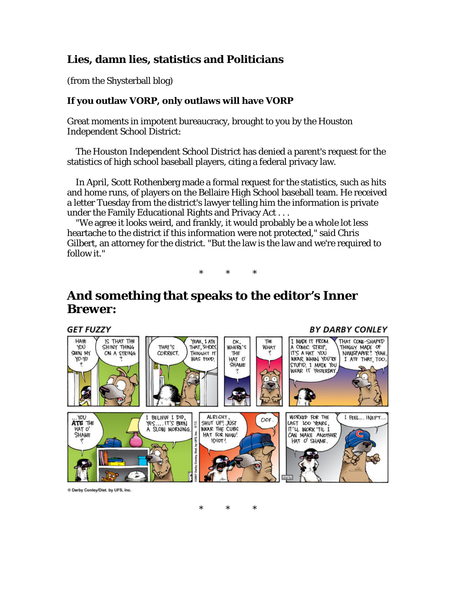#### **Lies, damn lies, statistics and Politicians**

(from the Shysterball blog)

#### **If you outlaw VORP, only outlaws will have VORP**

Great moments in impotent bureaucracy, brought to you by the Houston Independent School District:

 The Houston Independent School District has denied a parent's request for the statistics of high school baseball players, citing a federal privacy law.

 In April, Scott Rothenberg made a formal request for the statistics, such as hits and home runs, of players on the Bellaire High School baseball team. He received a letter Tuesday from the district's lawyer telling him the information is private under the Family Educational Rights and Privacy Act . . .

 "We agree it looks weird, and frankly, it would probably be a whole lot less heartache to the district if this information were not protected," said Chris Gilbert, an attorney for the district. "But the law is the law and we're required to follow it."

\* \* \*

**BY DARBY CONLEY** 

# **And something that speaks to the editor's Inner Brewer:**

#### **GET FUZZY**



\* \* \*

® Darby Conley/Dist. by UFS, Inc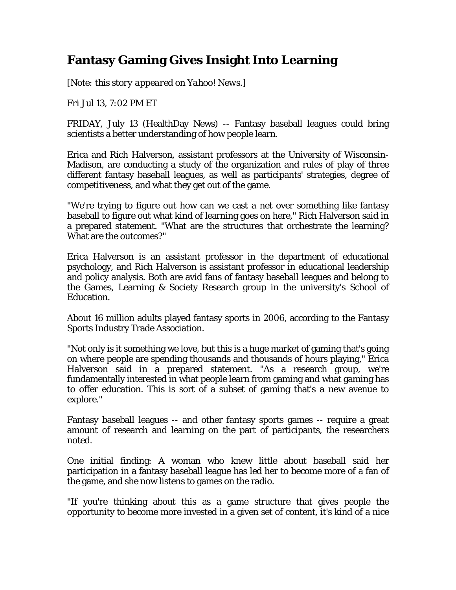# **Fantasy Gaming Gives Insight Into Learning**

*[Note: this story appeared on Yahoo! News.]* 

*Fri Jul 13, 7:02 PM ET*

FRIDAY, July 13 (HealthDay News) -- Fantasy baseball leagues could bring scientists a better understanding of how people learn.

Erica and Rich Halverson, assistant professors at the University of Wisconsin-Madison, are conducting a study of the organization and rules of play of three different fantasy baseball leagues, as well as participants' strategies, degree of competitiveness, and what they get out of the game.

"We're trying to figure out how can we cast a net over something like fantasy baseball to figure out what kind of learning goes on here," Rich Halverson said in a prepared statement. "What are the structures that orchestrate the learning? What are the outcomes?"

Erica Halverson is an assistant professor in the department of educational psychology, and Rich Halverson is assistant professor in educational leadership and policy analysis. Both are avid fans of fantasy baseball leagues and belong to the Games, Learning & Society Research group in the university's School of Education.

About 16 million adults played fantasy sports in 2006, according to the Fantasy Sports Industry Trade Association.

"Not only is it something we love, but this is a huge market of gaming that's going on where people are spending thousands and thousands of hours playing," Erica Halverson said in a prepared statement. "As a research group, we're fundamentally interested in what people learn from gaming and what gaming has to offer education. This is sort of a subset of gaming that's a new avenue to explore."

Fantasy baseball leagues -- and other fantasy sports games -- require a great amount of research and learning on the part of participants, the researchers noted.

One initial finding: A woman who knew little about baseball said her participation in a fantasy baseball league has led her to become more of a fan of the game, and she now listens to games on the radio.

"If you're thinking about this as a game structure that gives people the opportunity to become more invested in a given set of content, it's kind of a nice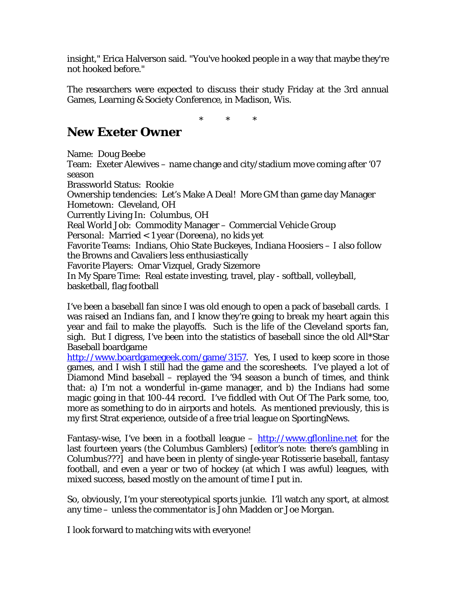insight," Erica Halverson said. "You've hooked people in a way that maybe they're not hooked before."

The researchers were expected to discuss their study Friday at the 3rd annual Games, Learning & Society Conference, in Madison, Wis.

\* \* \*

# **New Exeter Owner**

Name: Doug Beebe Team: Exeter Alewives – name change and city/stadium move coming after '07 season Brassworld Status: Rookie Ownership tendencies: Let's Make A Deal! More GM than game day Manager Hometown: Cleveland, OH Currently Living In: Columbus, OH Real World Job: Commodity Manager – Commercial Vehicle Group Personal: Married < 1 year (Doreena), no kids yet Favorite Teams: Indians, Ohio State Buckeyes, Indiana Hoosiers – I also follow the Browns and Cavaliers less enthusiastically Favorite Players: Omar Vizquel, Grady Sizemore In My Spare Time: Real estate investing, travel, play - softball, volleyball, basketball, flag football

I've been a baseball fan since I was old enough to open a pack of baseball cards. I was raised an Indians fan, and I know they're going to break my heart again this year and fail to make the playoffs. Such is the life of the Cleveland sports fan, sigh. But I digress, I've been into the statistics of baseball since the old All\*Star Baseball boardgame

<http://www.boardgamegeek.com/game/3157>. Yes, I used to keep score in those games, and I wish I still had the game and the scoresheets. I've played a lot of Diamond Mind baseball – replayed the '94 season a bunch of times, and think that: a) I'm not a wonderful in-game manager, and b) the Indians had some magic going in that 100-44 record. I've fiddled with Out Of The Park some, too, more as something to do in airports and hotels. As mentioned previously, this is my first Strat experience, outside of a free trial league on SportingNews.

Fantasy-wise, I've been in a football league  $-\frac{http://www.gflonline.net}{http://www.gflonline.net}$  for the last fourteen years (the Columbus Gamblers) [*editor's note: there's gambling in Columbus???]* and have been in plenty of single-year Rotisserie baseball, fantasy football, and even a year or two of hockey (at which I was awful) leagues, with mixed success, based mostly on the amount of time I put in.

So, obviously, I'm your stereotypical sports junkie. I'll watch any sport, at almost any time – unless the commentator is John Madden or Joe Morgan.

I look forward to matching wits with everyone!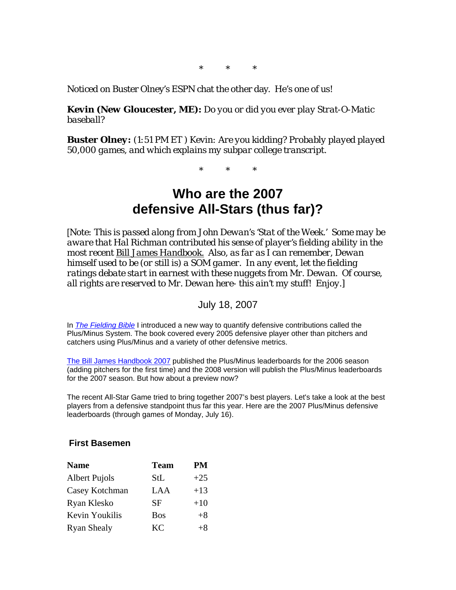\* \* \*

Noticed on Buster Olney's ESPN chat the other day. He's one of us!

*Kevin (New Gloucester, ME): Do you or did you ever play Strat-O-Matic baseball?* 

*Buster Olney: (1:51 PM ET ) Kevin: Are you kidding? Probably played played 50,000 games, and which explains my subpar college transcript.* 

\* \* \*

# **Who are the 2007 defensive All-Stars (thus far)?**

[*Note: This is passed along from John Dewan's 'Stat of the Week.' Some may be aware that Hal Richman contributed his sense of player's fielding ability in the most recent Bill James Handbook. Also, as far as I can remember, Dewan himself used to be (or still is) a SOM gamer. In any event, let the fielding ratings debate start in earnest with these nuggets from Mr. Dewan. Of course, all rights are reserved to Mr. Dewan here- this ain't my stuff! Enjoy.]* 

July 18, 2007

In *[The Fielding Bible](http://actasports.com/detail.html?&id=0-87946-297-3)* I introduced a new way to quantify defensive contributions called the Plus/Minus System. The book covered every 2005 defensive player other than pitchers and catchers using Plus/Minus and a variety of other defensive metrics.

[The Bill James Handbook 2007](http://www.actasports.com/detail.html?id=047) published the Plus/Minus leaderboards for the 2006 season (adding pitchers for the first time) and the 2008 version will publish the Plus/Minus leaderboards for the 2007 season. But how about a preview now?

The recent All-Star Game tried to bring together 2007's best players. Let's take a look at the best players from a defensive standpoint thus far this year. Here are the 2007 Plus/Minus defensive leaderboards (through games of Monday, July 16).

#### **First Basemen**

| <b>Name</b>        | <b>Team</b> | PМ    |
|--------------------|-------------|-------|
| Albert Pujols      | StL         | $+25$ |
| Casey Kotchman     | LAA         | $+13$ |
| Ryan Klesko        | SF          | $+10$ |
| Kevin Youkilis     | <b>Bos</b>  | $+8$  |
| <b>Ryan Shealy</b> | KC.         | $+8$  |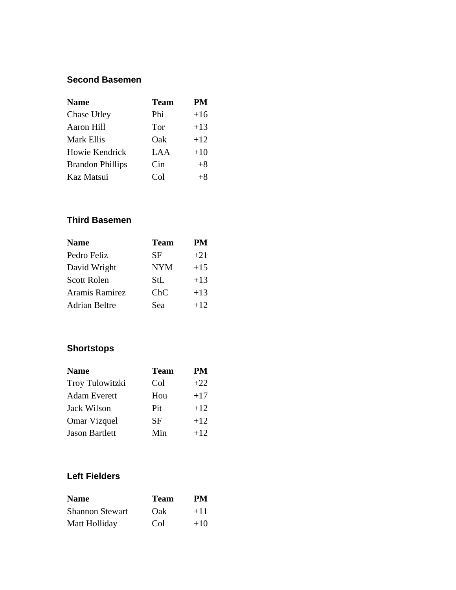#### **Second Basemen**

| <b>Name</b>             | <b>Team</b> | <b>PM</b> |
|-------------------------|-------------|-----------|
| Chase Utley             | Phi         | $+16$     |
| <b>Aaron Hill</b>       | Tor         | $+13$     |
| <b>Mark Ellis</b>       | Oak         | $+12$     |
| Howie Kendrick          | LAA         | $+10$     |
| <b>Brandon Phillips</b> | Cin         | $+8$      |
| Kaz Matsui              | Co1         | $+8$      |

#### **Third Basemen**

| <b>Name</b>          | <b>Team</b> | <b>PM</b> |
|----------------------|-------------|-----------|
| Pedro Feliz          | SF          | $+21$     |
| David Wright         | <b>NYM</b>  | $+15$     |
| <b>Scott Rolen</b>   | StL         | $+13$     |
| Aramis Ramirez       | ChC         | $+13$     |
| <b>Adrian Beltre</b> | Sea         | $+12$     |

## **Shortstops**

| <b>Name</b>     | <b>Team</b> | PM    |
|-----------------|-------------|-------|
| Troy Tulowitzki | Col         | $+22$ |
| Adam Everett    | Hou         | $+17$ |
| Jack Wilson     | Pit         | $+12$ |
| Omar Vizquel    | <b>SF</b>   | $+12$ |
| Jason Bartlett  | Min         | $+12$ |

#### **Left Fielders**

| <b>Name</b>            | <b>Team</b> | PМ    |
|------------------------|-------------|-------|
| <b>Shannon Stewart</b> | Oak         | $+11$ |
| Matt Holliday          | Col         | $+10$ |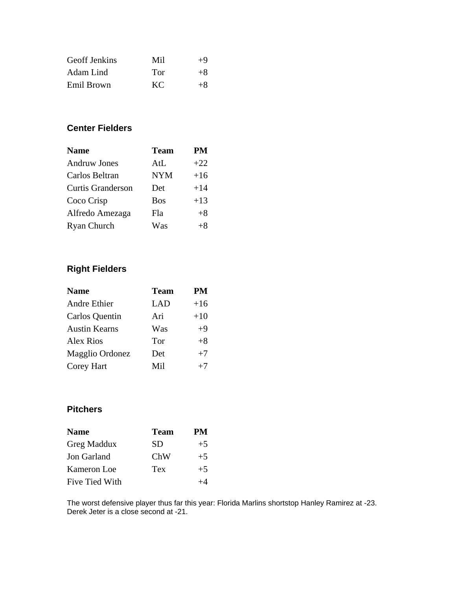| <b>Geoff Jenkins</b> | Mil | $+9$ |
|----------------------|-----|------|
| Adam Lind            | Tor | $+8$ |
| Emil Brown           | KC. | $+8$ |

#### **Center Fielders**

| <b>Name</b>              | <b>Team</b> | <b>PM</b> |
|--------------------------|-------------|-----------|
| <b>Andruw Jones</b>      | AtL         | $+22$     |
| Carlos Beltran           | <b>NYM</b>  | $+16$     |
| <b>Curtis Granderson</b> | Det         | $+14$     |
| Coco Crisp               | <b>Bos</b>  | $+13$     |
| Alfredo Amezaga          | Fla         | $+8$      |
| Ryan Church              | Was         | $+8$      |

## **Right Fielders**

| <b>Team</b> | PM    |
|-------------|-------|
| LAD         | $+16$ |
| Ari         | $+10$ |
| Was         | $+9$  |
| Tor         | $+8$  |
| Det         | $+7$  |
| Mil         | $+7$  |
|             |       |

#### **Pitchers**

| <b>Name</b>           | <b>Team</b> | PМ   |
|-----------------------|-------------|------|
| Greg Maddux           | SD          | $+5$ |
| Jon Garland           | ChW         | $+5$ |
| Kameron Loe           | Tex         | $+5$ |
| <b>Five Tied With</b> |             |      |

The worst defensive player thus far this year: Florida Marlins shortstop Hanley Ramirez at -23. Derek Jeter is a close second at -21.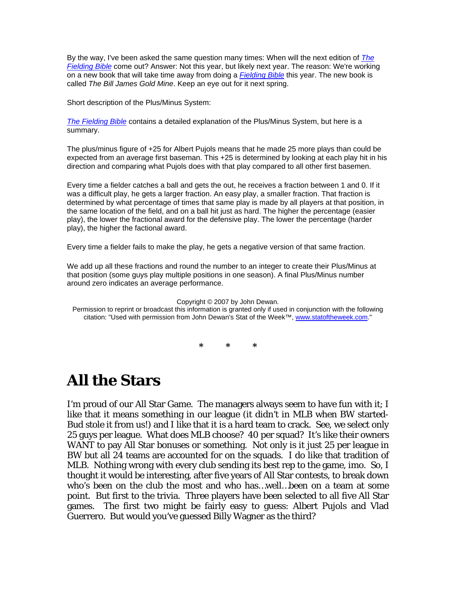By the way, I've been asked the same question many times: When will the next edition of *[The](http://actasports.com/detail.html?&id=0-87946-297-3)  [Fielding Bible](http://actasports.com/detail.html?&id=0-87946-297-3)* come out? Answer: Not this year, but likely next year. The reason: We're working on a new book that will take time away from doing a *[Fielding Bible](http://actasports.com/detail.html?&id=0-87946-297-3)* this year. The new book is called *The Bill James Gold Mine*. Keep an eye out for it next spring.

Short description of the Plus/Minus System:

*[The Fielding Bible](http://actasports.com/detail.html?&id=0-87946-297-3)* contains a detailed explanation of the Plus/Minus System, but here is a summary.

The plus/minus figure of +25 for Albert Pujols means that he made 25 more plays than could be expected from an average first baseman. This +25 is determined by looking at each play hit in his direction and comparing what Pujols does with that play compared to all other first basemen.

Every time a fielder catches a ball and gets the out, he receives a fraction between 1 and 0. If it was a difficult play, he gets a larger fraction. An easy play, a smaller fraction. That fraction is determined by what percentage of times that same play is made by all players at that position, in the same location of the field, and on a ball hit just as hard. The higher the percentage (easier play), the lower the fractional award for the defensive play. The lower the percentage (harder play), the higher the factional award.

Every time a fielder fails to make the play, he gets a negative version of that same fraction.

We add up all these fractions and round the number to an integer to create their Plus/Minus at that position (some guys play multiple positions in one season). A final Plus/Minus number around zero indicates an average performance.

[Copyright © 2007 by John Dewan.](http://www.actasports.com/detail.html?id=0879463171)

[Permission to reprint or broadcast this information is granted only if used in conjunction with the following](http://www.actasports.com/detail.html?id=0879463171)  [citation: "Used with permission from John Dewan's Stat of the Week™,](http://www.actasports.com/detail.html?id=0879463171) www.statoftheweek.com[."](http://www.statoftheweek.com/)

**\* \* \*** 

# **All the Stars**

I'm proud of our All Star Game. The managers always seem to have fun with it; I like that it means something in our league (it didn't in MLB when BW started-Bud stole it from us!) and I like that it is a hard team to crack. See, we select only 25 guys per league. What does MLB choose? 40 per squad? It's like their owners WANT to pay All Star bonuses or something. Not only is it just 25 per league in BW but all 24 teams are accounted for on the squads. I do like that tradition of MLB. Nothing wrong with every club sending its best rep to the game, imo. So, I thought it would be interesting, after five years of All Star contests, to break down who's been on the club the most and who has…well…been on a team at some point. But first to the trivia. Three players have been selected to all five All Star games. The first two might be fairly easy to guess: Albert Pujols and Vlad Guerrero. But would you've guessed Billy Wagner as the third?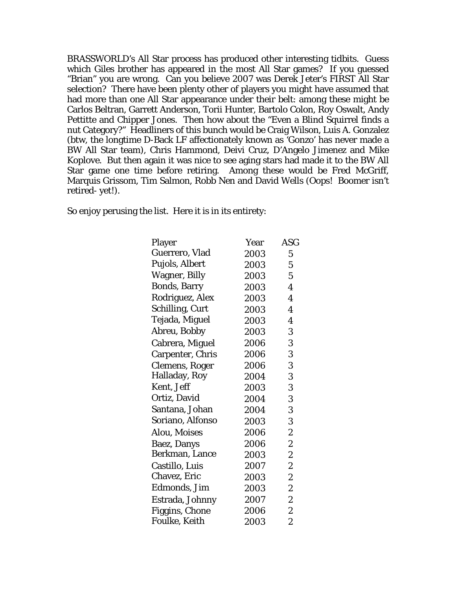BRASSWORLD's All Star process has produced other interesting tidbits. Guess which Giles brother has appeared in the most All Star games? If you guessed "Brian" you are wrong. Can you believe 2007 was Derek Jeter's FIRST All Star selection? There have been plenty other of players you might have assumed that had more than one All Star appearance under their belt: among these might be Carlos Beltran, Garrett Anderson, Torii Hunter, Bartolo Colon, Roy Oswalt, Andy Pettitte and Chipper Jones. Then how about the "Even a Blind Squirrel finds a nut Category?" Headliners of this bunch would be Craig Wilson, Luis A. Gonzalez (btw, the longtime D-Back LF affectionately known as 'Gonzo' has never made a BW All Star team), Chris Hammond, Deivi Cruz, D'Angelo Jimenez and Mike Koplove. But then again it was nice to see aging stars had made it to the BW All Star game one time before retiring. Among these would be Fred McGriff, Marquis Grissom, Tim Salmon, Robb Nen and David Wells (Oops! Boomer isn't retired- yet!).

So enjoy perusing the list. Here it is in its entirety:

| Player                  | Year | <b>ASG</b>       |
|-------------------------|------|------------------|
| Guerrero, Vlad          | 2003 | $\mathbf 5$      |
| Pujols, Albert          | 2003 | 5                |
| <b>Wagner, Billy</b>    | 2003 | $\mathbf 5$      |
| <b>Bonds, Barry</b>     | 2003 | 4                |
| Rodriguez, Alex         | 2003 | 4                |
| Schilling, Curt         | 2003 | 4                |
| Tejada, Miguel          | 2003 | 4                |
| Abreu, Bobby            | 2003 | 3                |
| Cabrera, Miguel         | 2006 | 3                |
| <b>Carpenter, Chris</b> | 2006 | 3                |
| <b>Clemens, Roger</b>   | 2006 | 3                |
| Halladay, Roy           | 2004 | 3                |
| Kent, Jeff              | 2003 | 3                |
| Ortiz, David            | 2004 | 3                |
| Santana, Johan          | 2004 | 3                |
| Soriano, Alfonso        | 2003 | 3                |
| Alou, Moises            | 2006 | $\overline{c}$   |
| Baez, Danys             | 2006 | 2                |
| Berkman, Lance          | 2003 | $\overline{c}$   |
| Castillo, Luis          | 2007 | 2                |
| Chavez, Eric            | 2003 | $\overline{c}$   |
| Edmonds, Jim            | 2003 | 2                |
| Estrada, Johnny         | 2007 | $\overline{c}$   |
| <b>Figgins, Chone</b>   | 2006 | $\boldsymbol{2}$ |
| <b>Foulke, Keith</b>    | 2003 | $\overline{c}$   |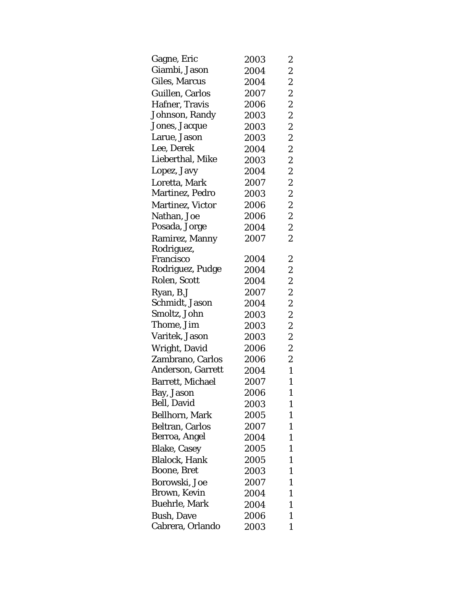| Gagne, Eric             | 2003 | 2                |
|-------------------------|------|------------------|
| Giambi, Jason           | 2004 | $\overline{c}$   |
| Giles, Marcus           | 2004 | $\overline{c}$   |
| Guillen, Carlos         | 2007 | $\overline{c}$   |
| Hafner, Travis          | 2006 | $\boldsymbol{2}$ |
| Johnson, Randy          | 2003 | $\overline{c}$   |
| Jones, Jacque           | 2003 | $\overline{c}$   |
| Larue, Jason            | 2003 | $\overline{c}$   |
| Lee, Derek              | 2004 | $\boldsymbol{2}$ |
| Lieberthal, Mike        | 2003 | $\overline{c}$   |
| Lopez, Javy             | 2004 | $\overline{c}$   |
| Loretta, Mark           | 2007 | $\overline{c}$   |
| Martinez, Pedro         | 2003 | $\boldsymbol{2}$ |
| <b>Martinez, Victor</b> | 2006 | $\overline{c}$   |
| Nathan, Joe             | 2006 | $\overline{c}$   |
| Posada, Jorge           | 2004 | $\overline{c}$   |
| Ramirez, Manny          | 2007 | $\overline{2}$   |
| Rodriguez,              |      |                  |
| Francisco               | 2004 | $\boldsymbol{2}$ |
| Rodriguez, Pudge        | 2004 | $\overline{c}$   |
| Rolen, Scott            | 2004 | $\overline{c}$   |
| Ryan, B.J               | 2007 | $\boldsymbol{2}$ |
| Schmidt, Jason          | 2004 | $\overline{c}$   |
| Smoltz, John            | 2003 | $\overline{c}$   |
| Thome, Jim              | 2003 | $\overline{c}$   |
| Varitek, Jason          | 2003 | $\boldsymbol{2}$ |
| Wright, David           | 2006 | $\overline{c}$   |
| Zambrano, Carlos        | 2006 | $\boldsymbol{2}$ |
| Anderson, Garrett       | 2004 | $\mathbf{1}$     |
| <b>Barrett, Michael</b> | 2007 | $\mathbf{1}$     |
| Bay, Jason              | 2006 | 1                |
| <b>Bell, David</b>      | 2003 | 1                |
| <b>Bellhorn, Mark</b>   | 2005 | $\mathbf{1}$     |
| <b>Beltran, Carlos</b>  | 2007 | $\mathbf{1}$     |
| Berroa, Angel           | 2004 | 1                |
| <b>Blake, Casey</b>     | 2005 | $\mathbf{1}$     |
| <b>Blalock, Hank</b>    | 2005 | $\mathbf{1}$     |
| Boone, Bret             | 2003 | $\mathbf{1}$     |
| Borowski, Joe           | 2007 | 1                |
| Brown, Kevin            | 2004 | 1                |
| <b>Buehrle, Mark</b>    | 2004 | $\mathbf{1}$     |
| <b>Bush, Dave</b>       | 2006 | $\mathbf{1}$     |
| Cabrera, Orlando        | 2003 | 1                |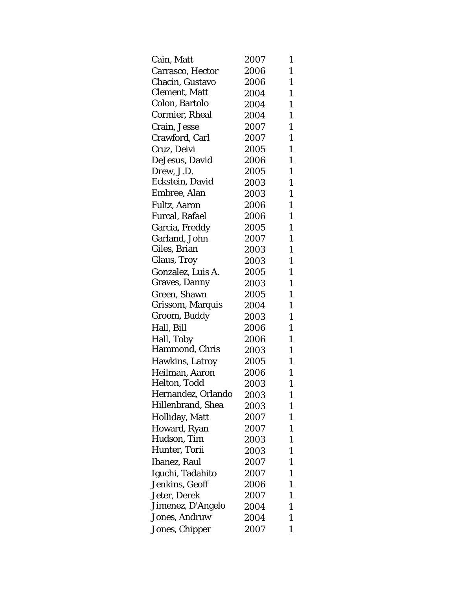| Cain, Matt            | 2007 | 1            |
|-----------------------|------|--------------|
| Carrasco, Hector      | 2006 | $\mathbf{1}$ |
| Chacin, Gustavo       | 2006 | $\mathbf{1}$ |
| <b>Clement, Matt</b>  | 2004 | $\mathbf{1}$ |
| Colon, Bartolo        | 2004 | $\mathbf{1}$ |
| <b>Cormier, Rheal</b> | 2004 | $\mathbf{1}$ |
| Crain, Jesse          | 2007 | $\mathbf{1}$ |
| Crawford, Carl        | 2007 | $\mathbf{1}$ |
| Cruz, Deivi           | 2005 | $\mathbf{1}$ |
| DeJesus, David        | 2006 | $\mathbf{1}$ |
| Drew, J.D.            | 2005 | $\mathbf{1}$ |
| Eckstein, David       | 2003 | $\mathbf{1}$ |
| Embree, Alan          | 2003 | $\mathbf{1}$ |
| <b>Fultz, Aaron</b>   | 2006 | $\mathbf{1}$ |
| <b>Furcal, Rafael</b> | 2006 | $\mathbf{1}$ |
| Garcia, Freddy        | 2005 | $\mathbf{1}$ |
| Garland, John         | 2007 | $\mathbf{1}$ |
| Giles, Brian          | 2003 | $\mathbf{1}$ |
| <b>Glaus, Troy</b>    | 2003 | $\mathbf{1}$ |
| Gonzalez, Luis A.     | 2005 | $\mathbf{1}$ |
| Graves, Danny         | 2003 | $\mathbf{1}$ |
| Green, Shawn          | 2005 | $\mathbf{1}$ |
| Grissom, Marquis      | 2004 | $\mathbf{1}$ |
| Groom, Buddy          | 2003 | $\mathbf{1}$ |
| Hall, Bill            | 2006 | $\mathbf{1}$ |
| Hall, Toby            | 2006 | $\mathbf{1}$ |
| Hammond, Chris        | 2003 | $\mathbf{1}$ |
| Hawkins, Latroy       | 2005 | $\mathbf{1}$ |
| Heilman, Aaron        | 2006 | $\mathbf{1}$ |
| Helton, Todd          | 2003 | $\mathbf{1}$ |
| Hernandez, Orlando    | 2003 | 1            |
| Hillenbrand, Shea     | 2003 | 1            |
| Holliday, Matt        | 2007 | 1            |
| Howard, Ryan          | 2007 | 1            |
| Hudson, Tim           | 2003 | 1            |
| Hunter, Torii         | 2003 | $\mathbf{1}$ |
| Ibanez, Raul          | 2007 | 1            |
| Iguchi, Tadahito      | 2007 | 1            |
| Jenkins, Geoff        | 2006 | 1            |
| Jeter, Derek          | 2007 | $\mathbf{1}$ |
| Jimenez, D'Angelo     | 2004 | 1            |
| <b>Jones, Andruw</b>  | 2004 | 1            |
| Jones, Chipper        | 2007 | 1            |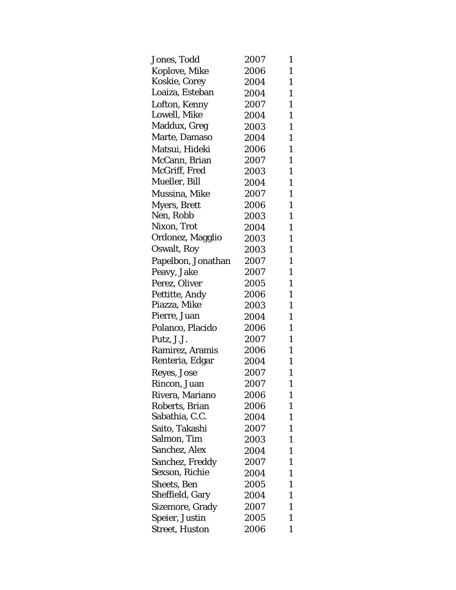| Jones, Todd            | 2007 | 1            |
|------------------------|------|--------------|
| Koplove, Mike          | 2006 | $\mathbf{1}$ |
| Koskie, Corey          | 2004 | $\mathbf{1}$ |
| Loaiza, Esteban        | 2004 | $\mathbf{1}$ |
| Lofton, Kenny          | 2007 | $\mathbf{1}$ |
| Lowell, Mike           | 2004 | $\mathbf{1}$ |
| Maddux, Greg           | 2003 | $\mathbf{1}$ |
| Marte, Damaso          | 2004 | $\mathbf{1}$ |
| Matsui, Hideki         | 2006 | $\mathbf{1}$ |
| McCann, Brian          | 2007 | $\mathbf{1}$ |
| McGriff, Fred          | 2003 | $\mathbf{1}$ |
| Mueller, Bill          | 2004 | $\mathbf{1}$ |
| Mussina, Mike          | 2007 | $\mathbf{1}$ |
| <b>Myers, Brett</b>    | 2006 | $\mathbf{1}$ |
| Nen, Robb              | 2003 | $\mathbf{1}$ |
| Nixon, Trot            | 2004 | $\mathbf{1}$ |
| Ordonez, Magglio       | 2003 | $\mathbf{1}$ |
| Oswalt, Roy            | 2003 | $\mathbf{1}$ |
| Papelbon, Jonathan     | 2007 | $\mathbf{1}$ |
| Peavy, Jake            | 2007 | $\mathbf{1}$ |
| Perez, Oliver          | 2005 | $\mathbf{1}$ |
| Pettitte, Andy         | 2006 | $\mathbf{1}$ |
| Piazza, Mike           | 2003 | $\mathbf{1}$ |
| Pierre, Juan           | 2004 | $\mathbf{1}$ |
| Polanco, Placido       | 2006 | $\mathbf{1}$ |
| Putz, J.J.             | 2007 | $\mathbf{1}$ |
| Ramirez, Aramis        | 2006 | $\mathbf{1}$ |
| Renteria, Edgar        | 2004 | $\mathbf{1}$ |
| Reyes, Jose            | 2007 | $\mathbf{1}$ |
| Rincon, Juan           | 2007 | $\mathbf{1}$ |
| Rivera, Mariano        | 2006 | 1            |
| Roberts, Brian         | 2006 | $\mathbf{1}$ |
| Sabathia, C.C.         | 2004 | $\mathbf{1}$ |
| Saito, Takashi         | 2007 | 1            |
| Salmon, Tim            | 2003 | 1            |
| Sanchez, Alex          | 2004 | $\mathbf{1}$ |
| <b>Sanchez, Freddy</b> | 2007 | $\mathbf{1}$ |
| Sexson, Richie         | 2004 | 1            |
| Sheets, Ben            | 2005 | 1            |
| Sheffield, Gary        | 2004 | $\mathbf{1}$ |
| Sizemore, Grady        | 2007 | 1            |
| Speier, Justin         | 2005 | 1            |
| <b>Street, Huston</b>  | 2006 | 1            |
|                        |      |              |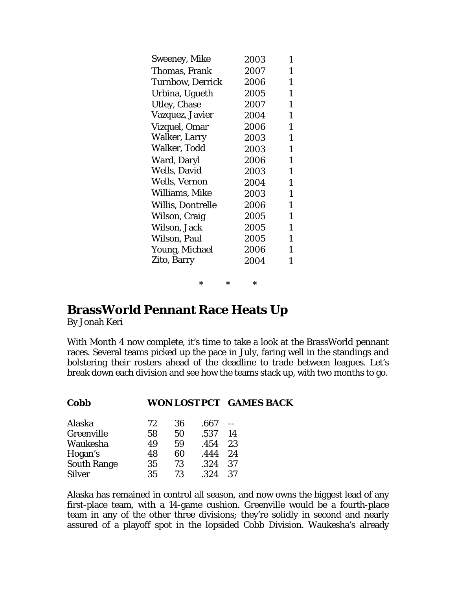| Sweeney, Mike            | 2003 | 1            |
|--------------------------|------|--------------|
| Thomas, Frank            | 2007 | 1            |
| <b>Turnbow, Derrick</b>  | 2006 | $\mathbf{1}$ |
| Urbina, Ugueth           | 2005 | $\mathbf{1}$ |
| <b>Utley, Chase</b>      | 2007 | $\mathbf{1}$ |
| Vazquez, Javier          | 2004 | $\mathbf{1}$ |
| Vizquel, Omar            | 2006 | $\mathbf{1}$ |
| Walker, Larry            | 2003 | $\mathbf{1}$ |
| Walker, Todd             | 2003 | $\mathbf{1}$ |
| Ward, Daryl              | 2006 | 1            |
| <b>Wells, David</b>      | 2003 | $\mathbf{1}$ |
| Wells, Vernon            | 2004 | $\mathbf{1}$ |
| Williams, Mike           | 2003 | $\mathbf{1}$ |
| <b>Willis, Dontrelle</b> | 2006 | $\mathbf{1}$ |
| Wilson, Craig            | 2005 | $\mathbf{1}$ |
| Wilson, Jack             | 2005 | $\mathbf{1}$ |
| Wilson, Paul             | 2005 | $\mathbf{1}$ |
| Young, Michael           | 2006 | $\mathbf{1}$ |
| Zito, Barry              | 2004 | $\mathbf{1}$ |
|                          |      |              |

**\* \* \*** 

## **BrassWorld Pennant Race Heats Up**

**Cobb WON LOST PCT GAMES BACK** 

By Jonah Keri

With Month 4 now complete, it's time to take a look at the BrassWorld pennant races. Several teams picked up the pace in July, faring well in the standings and bolstering their rosters ahead of the deadline to trade between leagues. Let's break down each division and see how the teams stack up, with two months to go.

| Alaska             | 72 | 36 | .667 |    |
|--------------------|----|----|------|----|
| Greenville         | 58 | 50 | .537 | 14 |
| Waukesha           | 49 | 59 | .454 | 23 |
| Hogan's            | 48 | 60 | .444 | 24 |
| <b>South Range</b> | 35 | 73 | .324 | 37 |
| <b>Silver</b>      | 35 | 73 | .324 | 37 |

Alaska has remained in control all season, and now owns the biggest lead of any first-place team, with a 14-game cushion. Greenville would be a fourth-place team in any of the other three divisions; they're solidly in second and nearly assured of a playoff spot in the lopsided Cobb Division. Waukesha's already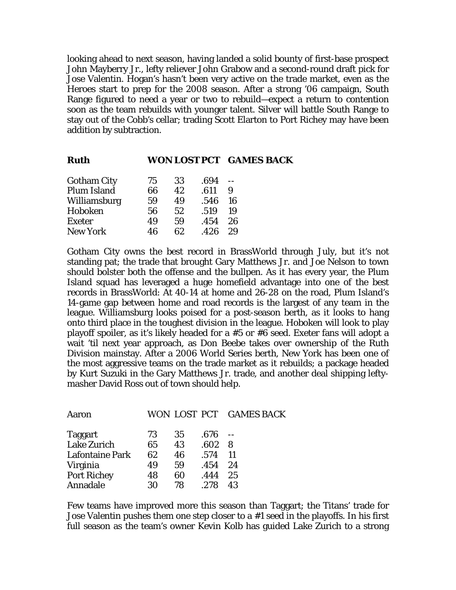looking ahead to next season, having landed a solid bounty of first-base prospect John Mayberry Jr., lefty reliever John Grabow and a second-round draft pick for Jose Valentin. Hogan's hasn't been very active on the trade market, even as the Heroes start to prep for the 2008 season. After a strong '06 campaign, South Range figured to need a year or two to rebuild—expect a return to contention soon as the team rebuilds with younger talent. Silver will battle South Range to stay out of the Cobb's cellar; trading Scott Elarton to Port Richey may have been addition by subtraction.

| 75 | 33 | .694 |    |                         |
|----|----|------|----|-------------------------|
| 66 | 42 | .611 | 9  |                         |
| 59 | 49 | .546 | 16 |                         |
| 56 | 52 | .519 | 19 |                         |
| 49 | 59 | .454 | 26 |                         |
| 46 | 62 | .426 | 29 |                         |
|    |    |      |    | WON LOST PCT GAMES BACK |

Gotham City owns the best record in BrassWorld through July, but it's not standing pat; the trade that brought Gary Matthews Jr. and Joe Nelson to town should bolster both the offense and the bullpen. As it has every year, the Plum Island squad has leveraged a huge homefield advantage into one of the best records in BrassWorld: At 40-14 at home and 26-28 on the road, Plum Island's 14-game gap between home and road records is the largest of any team in the league. Williamsburg looks poised for a post-season berth, as it looks to hang onto third place in the toughest division in the league. Hoboken will look to play playoff spoiler, as it's likely headed for a #5 or #6 seed. Exeter fans will adopt a wait 'til next year approach, as Don Beebe takes over ownership of the Ruth Division mainstay. After a 2006 World Series berth, New York has been one of the most aggressive teams on the trade market as it rebuilds; a package headed by Kurt Suzuki in the Gary Matthews Jr. trade, and another deal shipping leftymasher David Ross out of town should help.

| 73 | 35 | .676 |                         |
|----|----|------|-------------------------|
| 65 | 43 | .602 | 8                       |
| 62 | 46 | .574 | -11                     |
| 49 | 59 | .454 | 24                      |
| 48 | 60 | .444 | 25                      |
| 30 | 78 | .278 | 43                      |
|    |    |      | WON LOST PCT GAMES BACK |

Few teams have improved more this season than Taggart; the Titans' trade for Jose Valentin pushes them one step closer to a #1 seed in the playoffs. In his first full season as the team's owner Kevin Kolb has guided Lake Zurich to a strong